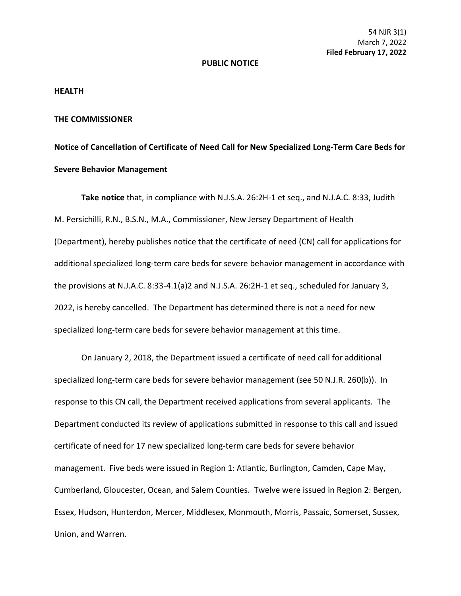## **PUBLIC NOTICE**

## **HEALTH**

## **THE COMMISSIONER**

## **Notice of Cancellation of Certificate of Need Call for New Specialized Long-Term Care Beds for Severe Behavior Management**

**Take notice** that, in compliance with N.J.S.A. 26:2H-1 et seq., and N.J.A.C. 8:33, Judith M. Persichilli, R.N., B.S.N., M.A., Commissioner, New Jersey Department of Health (Department), hereby publishes notice that the certificate of need (CN) call for applications for additional specialized long-term care beds for severe behavior management in accordance with the provisions at N.J.A.C. 8:33-4.1(a)2 and N.J.S.A. 26:2H-1 et seq., scheduled for January 3, 2022, is hereby cancelled. The Department has determined there is not a need for new specialized long-term care beds for severe behavior management at this time.

On January 2, 2018, the Department issued a certificate of need call for additional specialized long-term care beds for severe behavior management (see 50 N.J.R. 260(b)). In response to this CN call, the Department received applications from several applicants. The Department conducted its review of applications submitted in response to this call and issued certificate of need for 17 new specialized long-term care beds for severe behavior management. Five beds were issued in Region 1: Atlantic, Burlington, Camden, Cape May, Cumberland, Gloucester, Ocean, and Salem Counties. Twelve were issued in Region 2: Bergen, Essex, Hudson, Hunterdon, Mercer, Middlesex, Monmouth, Morris, Passaic, Somerset, Sussex, Union, and Warren.